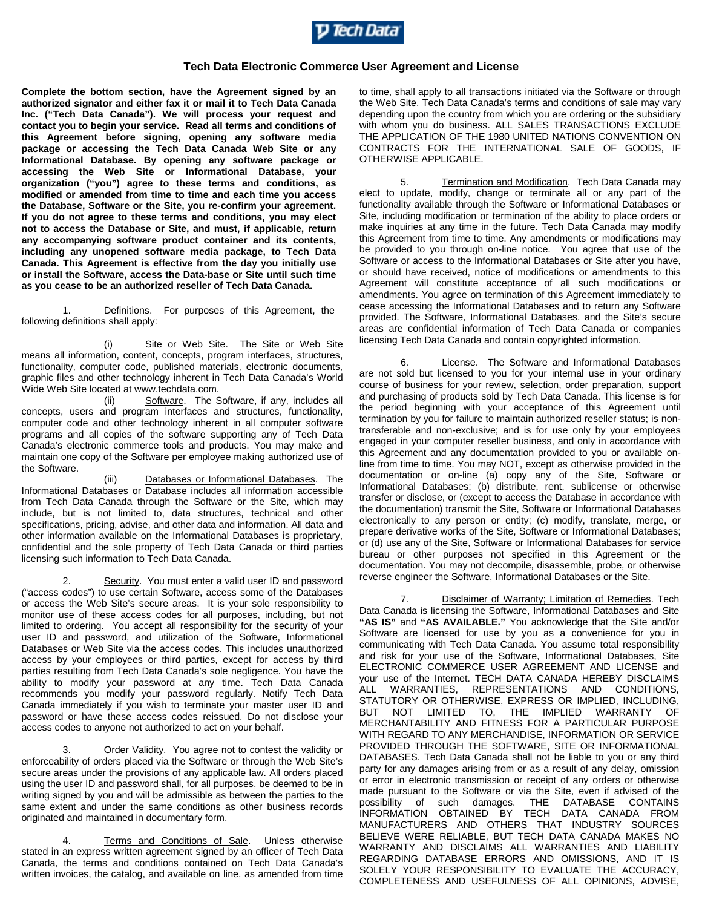

## **Tech Data Electronic Commerce User Agreement and License**

**Complete the bottom section, have the Agreement signed by an authorized signator and either fax it or mail it to Tech Data Canada Inc. ("Tech Data Canada"). We will process your request and contact you to begin your service. Read all terms and conditions of this Agreement before signing, opening any software media package or accessing the Tech Data Canada Web Site or any Informational Database. By opening any software package or accessing the Web Site or Informational Database, your organization ("you") agree to these terms and conditions, as modified or amended from time to time and each time you access the Database, Software or the Site, you re-confirm your agreement. If you do not agree to these terms and conditions, you may elect not to access the Database or Site, and must, if applicable, return any accompanying software product container and its contents, including any unopened software media package, to Tech Data Canada. This Agreement is effective from the day you initially use or install the Software, access the Data-base or Site until such time as you cease to be an authorized reseller of Tech Data Canada.**

1. Definitions. For purposes of this Agreement, the following definitions shall apply:

(i) Site or Web Site. The Site or Web Site means all information, content, concepts, program interfaces, structures, functionality, computer code, published materials, electronic documents, graphic files and other technology inherent in Tech Data Canada's World Wide Web Site located at www.techdata.com.

(ii) Software. The Software, if any, includes all concepts, users and program interfaces and structures, functionality, computer code and other technology inherent in all computer software programs and all copies of the software supporting any of Tech Data Canada's electronic commerce tools and products. You may make and maintain one copy of the Software per employee making authorized use of the Software.

(iii) Databases or Informational Databases. The Informational Databases or Database includes all information accessible from Tech Data Canada through the Software or the Site, which may include, but is not limited to, data structures, technical and other specifications, pricing, advise, and other data and information. All data and other information available on the Informational Databases is proprietary, confidential and the sole property of Tech Data Canada or third parties licensing such information to Tech Data Canada.

2. Security. You must enter a valid user ID and password ("access codes") to use certain Software, access some of the Databases or access the Web Site's secure areas. It is your sole responsibility to monitor use of these access codes for all purposes, including, but not limited to ordering. You accept all responsibility for the security of your user ID and password, and utilization of the Software, Informational Databases or Web Site via the access codes. This includes unauthorized access by your employees or third parties, except for access by third parties resulting from Tech Data Canada's sole negligence. You have the ability to modify your password at any time. Tech Data Canada recommends you modify your password regularly. Notify Tech Data Canada immediately if you wish to terminate your master user ID and password or have these access codes reissued. Do not disclose your access codes to anyone not authorized to act on your behalf.

Order Validity. You agree not to contest the validity or enforceability of orders placed via the Software or through the Web Site's secure areas under the provisions of any applicable law. All orders placed using the user ID and password shall, for all purposes, be deemed to be in writing signed by you and will be admissible as between the parties to the same extent and under the same conditions as other business records originated and maintained in documentary form.

Terms and Conditions of Sale. Unless otherwise stated in an express written agreement signed by an officer of Tech Data Canada, the terms and conditions contained on Tech Data Canada's written invoices, the catalog, and available on line, as amended from time

to time, shall apply to all transactions initiated via the Software or through the Web Site. Tech Data Canada's terms and conditions of sale may vary depending upon the country from which you are ordering or the subsidiary with whom you do business. ALL SALES TRANSACTIONS EXCLUDE THE APPLICATION OF THE 1980 UNITED NATIONS CONVENTION ON CONTRACTS FOR THE INTERNATIONAL SALE OF GOODS, IF OTHERWISE APPLICABLE.

5. Termination and Modification. Tech Data Canada may elect to update, modify, change or terminate all or any part of the functionality available through the Software or Informational Databases or Site, including modification or termination of the ability to place orders or make inquiries at any time in the future. Tech Data Canada may modify this Agreement from time to time. Any amendments or modifications may be provided to you through on-line notice. You agree that use of the Software or access to the Informational Databases or Site after you have, or should have received, notice of modifications or amendments to this Agreement will constitute acceptance of all such modifications or amendments. You agree on termination of this Agreement immediately to cease accessing the Informational Databases and to return any Software provided. The Software, Informational Databases, and the Site's secure areas are confidential information of Tech Data Canada or companies licensing Tech Data Canada and contain copyrighted information.

License. The Software and Informational Databases are not sold but licensed to you for your internal use in your ordinary course of business for your review, selection, order preparation, support and purchasing of products sold by Tech Data Canada. This license is for the period beginning with your acceptance of this Agreement until termination by you for failure to maintain authorized reseller status; is nontransferable and non-exclusive; and is for use only by your employees engaged in your computer reseller business, and only in accordance with this Agreement and any documentation provided to you or available online from time to time. You may NOT, except as otherwise provided in the documentation or on-line (a) copy any of the Site, Software or Informational Databases; (b) distribute, rent, sublicense or otherwise transfer or disclose, or (except to access the Database in accordance with the documentation) transmit the Site, Software or Informational Databases electronically to any person or entity; (c) modify, translate, merge, or prepare derivative works of the Site, Software or Informational Databases; or (d) use any of the Site, Software or Informational Databases for service bureau or other purposes not specified in this Agreement or the documentation. You may not decompile, disassemble, probe, or otherwise reverse engineer the Software, Informational Databases or the Site.

Disclaimer of Warranty; Limitation of Remedies. Tech Data Canada is licensing the Software, Informational Databases and Site **"AS IS"** and **"AS AVAILABLE."** You acknowledge that the Site and/or Software are licensed for use by you as a convenience for you in communicating with Tech Data Canada. You assume total responsibility and risk for your use of the Software, Informational Databases, Site ELECTRONIC COMMERCE USER AGREEMENT AND LICENSE and your use of the Internet. TECH DATA CANADA HEREBY DISCLAIMS ALL WARRANTIES, REPRESENTATIONS AND CONDITIONS, STATUTORY OR OTHERWISE, EXPRESS OR IMPLIED, INCLUDING, BUT NOT LIMITED TO, THE IMPLIED WARRANTY OF MERCHANTABILITY AND FITNESS FOR A PARTICULAR PURPOSE WITH REGARD TO ANY MERCHANDISE, INFORMATION OR SERVICE PROVIDED THROUGH THE SOFTWARE, SITE OR INFORMATIONAL DATABASES. Tech Data Canada shall not be liable to you or any third party for any damages arising from or as a result of any delay, omission or error in electronic transmission or receipt of any orders or otherwise made pursuant to the Software or via the Site, even if advised of the possibility of such damages. THE DATABASE CONTAINS INFORMATION OBTAINED BY TECH DATA CANADA FROM MANUFACTURERS AND OTHERS THAT INDUSTRY SOURCES BELIEVE WERE RELIABLE, BUT TECH DATA CANADA MAKES NO WARRANTY AND DISCLAIMS ALL WARRANTIES AND LIABILITY REGARDING DATABASE ERRORS AND OMISSIONS, AND IT IS SOLELY YOUR RESPONSIBILITY TO EVALUATE THE ACCURACY, COMPLETENESS AND USEFULNESS OF ALL OPINIONS, ADVISE,